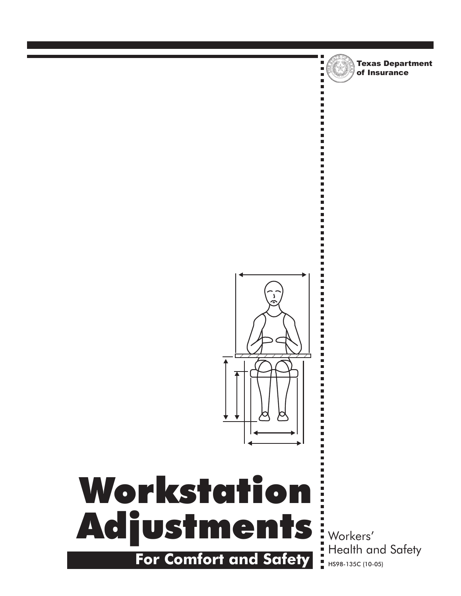

п п, Texas Department of Insurance



# Adjustments inversers' Workstation **For Comfort and Safety** HIS98-135C (10-05)

Health and Safety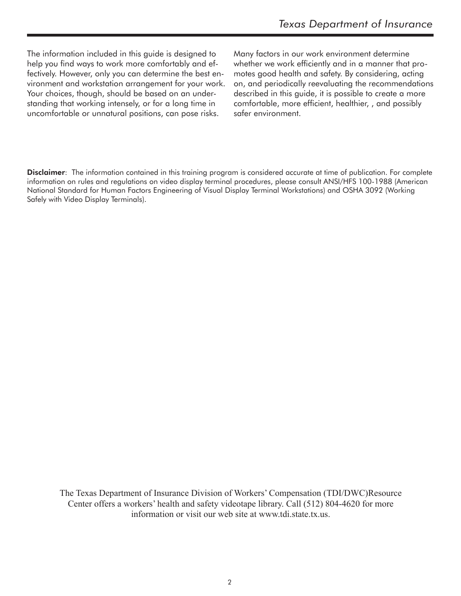The information included in this guide is designed to help you find ways to work more comfortably and effectively. However, only you can determine the best environment and workstation arrangement for your work. Your choices, though, should be based on an understanding that working intensely, or for a long time in uncomfortable or unnatural positions, can pose risks.

Many factors in our work environment determine whether we work efficiently and in a manner that promotes good health and safety. By considering, acting on, and periodically reevaluating the recommendations described in this guide, it is possible to create a more comfortable, more efficient, healthier, , and possibly safer environment.

**Disclaimer**: The information contained in this training program is considered accurate at time of publication. For complete information on rules and regulations on video display terminal procedures, please consult ANSI/HFS 100-1988 (American National Standard for Human Factors Engineering of Visual Display Terminal Workstations) and OSHA 3092 (Working Safely with Video Display Terminals).

The Texas Department of Insurance Division of Workers' Compensation (TDI/DWC)Resource Center offers a workers' health and safety videotape library. Call (512) 804-4620 for more information or visit our web site at www.tdi.state.tx.us.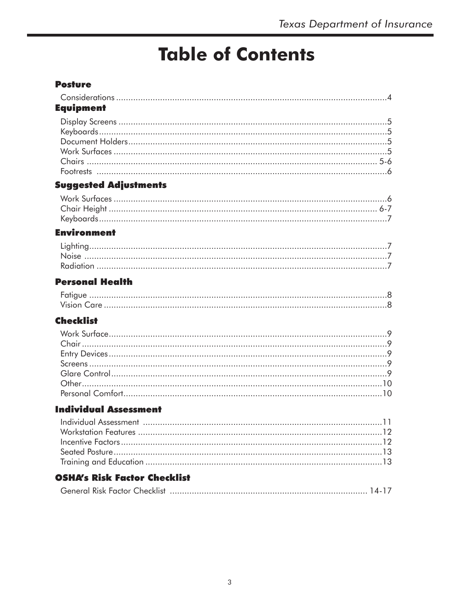# **Table of Contents**

## **Posture**

| <b>Equipment</b>                    |
|-------------------------------------|
|                                     |
| <b>Suggested Adjustments</b>        |
|                                     |
| <b>Environment</b>                  |
|                                     |
| <b>Personal Health</b>              |
|                                     |
| <b>Checklist</b>                    |
|                                     |
| <b>Individual Assessment</b>        |
|                                     |
| <b>OSHA's Risk Factor Checklist</b> |
|                                     |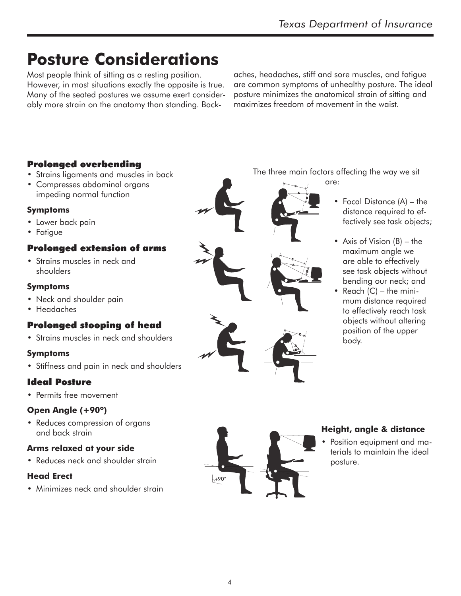# **Posture Considerations**

Most people think of sitting as a resting position. However, in most situations exactly the opposite is true. Many of the seated postures we assume exert considerably more strain on the anatomy than standing. Backaches, headaches, stiff and sore muscles, and fatigue are common symptoms of unhealthy posture. The ideal posture minimizes the anatomical strain of sitting and maximizes freedom of movement in the waist.

## Prolonged overbending

- Strains ligaments and muscles in back
- Compresses abdominal organs impeding normal function

#### **Symptoms**

- Lower back pain
- Fatigue

#### Prolonged extension of arms

• Strains muscles in neck and shoulders

#### **Symptoms**

- Neck and shoulder pain
- Headaches

## Prolonged stooping of head

• Strains muscles in neck and shoulders

#### **Symptoms**

• Stiffness and pain in neck and shoulders

## Ideal Posture

• Permits free movement

#### **Open Angle (+90º)**

• Reduces compression of organs and back strain

#### **Arms relaxed at your side**

• Reduces neck and shoulder strain

#### **Head Erect**

• Minimizes neck and shoulder strain

The three main factors affecting the way we sit

are:

- Focal Distance (A) the distance required to effectively see task objects;
	- Axis of Vision (B) the maximum angle we are able to effectively see task objects without bending our neck; and
	- Reach  $(C)$  the minimum distance required to effectively reach task objects without altering position of the upper body.



#### **Height, angle & distance**

• Position equipment and materials to maintain the ideal posture.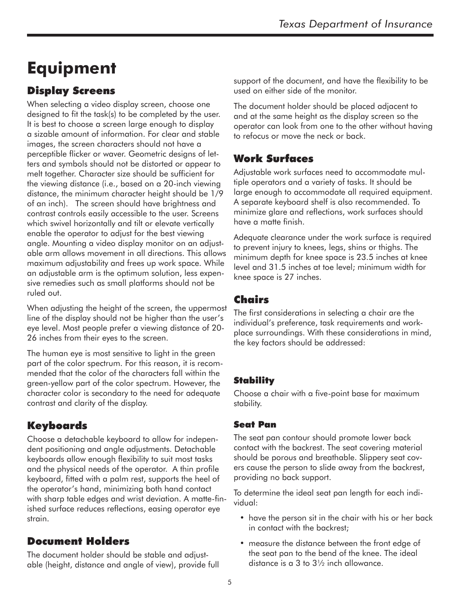# **Equipment**

# Display Screens

When selecting a video display screen, choose one designed to fit the task(s) to be completed by the user. It is best to choose a screen large enough to display a sizable amount of information. For clear and stable images, the screen characters should not have a perceptible flicker or waver. Geometric designs of letters and symbols should not be distorted or appear to melt together. Character size should be sufficient for the viewing distance (i.e., based on a 20-inch viewing distance, the minimum character height should be 1/9 of an inch). The screen should have brightness and contrast controls easily accessible to the user. Screens which swivel horizontally and tilt or elevate vertically enable the operator to adjust for the best viewing angle. Mounting a video display monitor on an adjustable arm allows movement in all directions. This allows maximum adjustability and frees up work space. While an adjustable arm is the optimum solution, less expensive remedies such as small platforms should not be ruled out.

When adjusting the height of the screen, the uppermost line of the display should not be higher than the user's eye level. Most people prefer a viewing distance of 20- 26 inches from their eyes to the screen.

The human eye is most sensitive to light in the green part of the color spectrum. For this reason, it is recommended that the color of the characters fall within the green-yellow part of the color spectrum. However, the character color is secondary to the need for adequate contrast and clarity of the display.

# Keyboards

Choose a detachable keyboard to allow for independent positioning and angle adjustments. Detachable keyboards allow enough flexibility to suit most tasks and the physical needs of the operator. A thin profile keyboard, fitted with a palm rest, supports the heel of the operator's hand, minimizing both hand contact with sharp table edges and wrist deviation. A matte-finished surface reduces reflections, easing operator eye strain.

# Document Holders

The document holder should be stable and adjustable (height, distance and angle of view), provide full support of the document, and have the flexibility to be used on either side of the monitor.

The document holder should be placed adjacent to and at the same height as the display screen so the operator can look from one to the other without having to refocus or move the neck or back.

# Work Surfaces

Adjustable work surfaces need to accommodate multiple operators and a variety of tasks. It should be large enough to accommodate all required equipment. A separate keyboard shelf is also recommended. To minimize glare and reflections, work surfaces should have a matte finish.

Adequate clearance under the work surface is required to prevent injury to knees, legs, shins or thighs. The minimum depth for knee space is 23.5 inches at knee level and 31.5 inches at toe level; minimum width for knee space is 27 inches.

# Chairs

The first considerations in selecting a chair are the individual's preference, task requirements and workplace surroundings. With these considerations in mind, the key factors should be addressed:

## **Stability**

Choose a chair with a five-point base for maximum stability.

## Seat Pan

The seat pan contour should promote lower back contact with the backrest. The seat covering material should be porous and breathable. Slippery seat covers cause the person to slide away from the backrest, providing no back support.

To determine the ideal seat pan length for each individual:

- have the person sit in the chair with his or her back in contact with the backrest;
- measure the distance between the front edge of the seat pan to the bend of the knee. The ideal distance is a 3 to 31⁄2 inch allowance.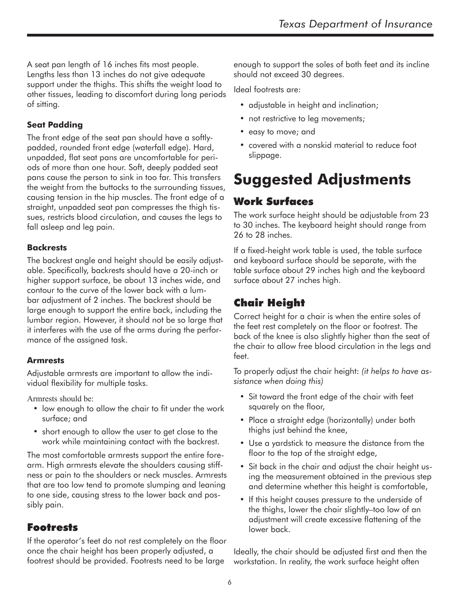A seat pan length of 16 inches fits most people. Lengths less than 13 inches do not give adequate support under the thighs. This shifts the weight load to other tissues, leading to discomfort during long periods of sitting.

#### **Seat Padding**

The front edge of the seat pan should have a softlypadded, rounded front edge (waterfall edge). Hard, unpadded, flat seat pans are uncomfortable for periods of more than one hour. Soft, deeply padded seat pans cause the person to sink in too far. This transfers the weight from the buttocks to the surrounding tissues, causing tension in the hip muscles. The front edge of a straight, unpadded seat pan compresses the thigh tissues, restricts blood circulation, and causes the legs to fall asleep and leg pain.

#### **Backrests**

The backrest angle and height should be easily adjustable. Specifically, backrests should have a 20-inch or higher support surface, be about 13 inches wide, and contour to the curve of the lower back with a lumbar adjustment of 2 inches. The backrest should be large enough to support the entire back, including the lumbar region. However, it should not be so large that it interferes with the use of the arms during the performance of the assigned task.

#### **Armrests**

Adjustable armrests are important to allow the individual flexibility for multiple tasks.

Armrests should be:

- low enough to allow the chair to fit under the work surface; and
- short enough to allow the user to get close to the work while maintaining contact with the backrest.

The most comfortable armrests support the entire forearm. High armrests elevate the shoulders causing stiffness or pain to the shoulders or neck muscles. Armrests that are too low tend to promote slumping and leaning to one side, causing stress to the lower back and possibly pain.

## Footrests

If the operator's feet do not rest completely on the floor once the chair height has been properly adjusted, a footrest should be provided. Footrests need to be large

enough to support the soles of both feet and its incline should not exceed 30 degrees.

Ideal footrests are:

- adjustable in height and inclination;
- not restrictive to leg movements;
- easy to move; and
- covered with a nonskid material to reduce foot slippage.

# **Suggested Adjustments**

# Work Surfaces

The work surface height should be adjustable from 23 to 30 inches. The keyboard height should range from 26 to 28 inches.

If a fixed-height work table is used, the table surface and keyboard surface should be separate, with the table surface about 29 inches high and the keyboard surface about 27 inches high.

# Chair Height

Correct height for a chair is when the entire soles of the feet rest completely on the floor or footrest. The back of the knee is also slightly higher than the seat of the chair to allow free blood circulation in the legs and feet.

To properly adjust the chair height: *(it helps to have assistance when doing this)*

- Sit toward the front edge of the chair with feet squarely on the floor,
- Place a straight edge (horizontally) under both thighs just behind the knee,
- Use a yardstick to measure the distance from the floor to the top of the straight edge,
- Sit back in the chair and adjust the chair height using the measurement obtained in the previous step and determine whether this height is comfortable,
- If this height causes pressure to the underside of the thighs, lower the chair slightly–too low of an adjustment will create excessive flattening of the lower back.

Ideally, the chair should be adjusted first and then the workstation. In reality, the work surface height often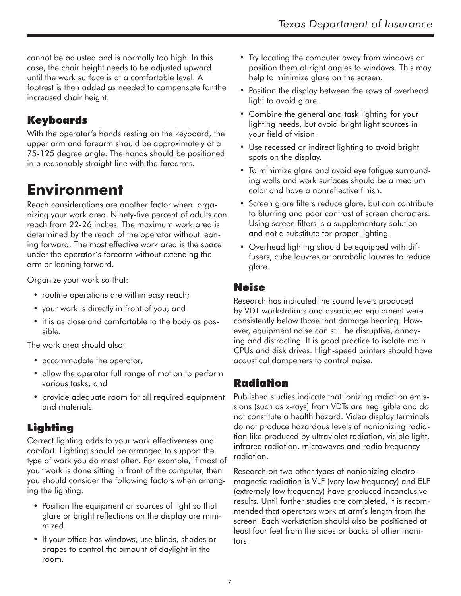cannot be adjusted and is normally too high. In this case, the chair height needs to be adjusted upward until the work surface is at a comfortable level. A footrest is then added as needed to compensate for the increased chair height.

# Keyboards

With the operator's hands resting on the keyboard, the upper arm and forearm should be approximately at a 75-125 degree angle. The hands should be positioned in a reasonably straight line with the forearms.

# **Environment**

Reach considerations are another factor when organizing your work area. Ninety-five percent of adults can reach from 22-26 inches. The maximum work area is determined by the reach of the operator without leaning forward. The most effective work area is the space under the operator's forearm without extending the arm or leaning forward.

Organize your work so that:

- routine operations are within easy reach;
- your work is directly in front of you; and
- it is as close and comfortable to the body as possible.

The work area should also:

- accommodate the operator;
- allow the operator full range of motion to perform various tasks; and
- provide adequate room for all required equipment and materials.

# Lighting

Correct lighting adds to your work effectiveness and comfort. Lighting should be arranged to support the type of work you do most often. For example, if most of your work is done sitting in front of the computer, then you should consider the following factors when arranging the lighting.

- Position the equipment or sources of light so that glare or bright reflections on the display are minimized.
- If your office has windows, use blinds, shades or drapes to control the amount of daylight in the room.
- Try locating the computer away from windows or position them at right angles to windows. This may help to minimize glare on the screen.
- Position the display between the rows of overhead light to avoid glare.
- Combine the general and task lighting for your lighting needs, but avoid bright light sources in your field of vision.
- Use recessed or indirect lighting to avoid bright spots on the display.
- To minimize glare and avoid eye fatigue surrounding walls and work surfaces should be a medium color and have a nonreflective finish.
- Screen glare filters reduce glare, but can contribute to blurring and poor contrast of screen characters. Using screen filters is a supplementary solution and not a substitute for proper lighting.
- Overhead lighting should be equipped with diffusers, cube louvres or parabolic louvres to reduce glare.

# Noise

Research has indicated the sound levels produced by VDT workstations and associated equipment were consistently below those that damage hearing. However, equipment noise can still be disruptive, annoying and distracting. It is good practice to isolate main CPUs and disk drives. High-speed printers should have acoustical dampeners to control noise.

# Radiation

Published studies indicate that ionizing radiation emissions (such as x-rays) from VDTs are negligible and do not constitute a health hazard. Video display terminals do not produce hazardous levels of nonionizing radiation like produced by ultraviolet radiation, visible light, infrared radiation, microwaves and radio frequency radiation.

Research on two other types of nonionizing electromagnetic radiation is VLF (very low frequency) and ELF (extremely low frequency) have produced inconclusive results. Until further studies are completed, it is recommended that operators work at arm's length from the screen. Each workstation should also be positioned at least four feet from the sides or backs of other monitors.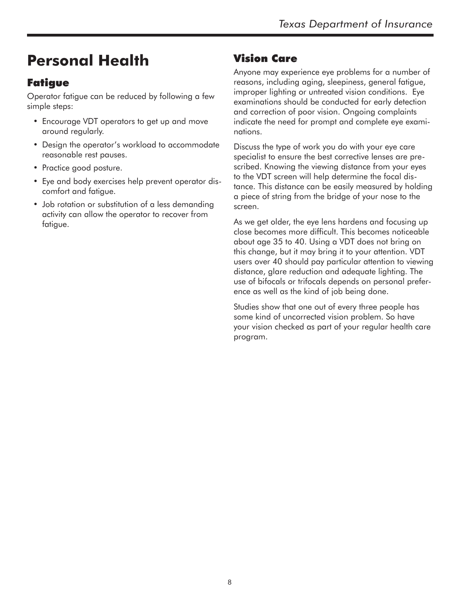# **Personal Health**

# Fatigue

Operator fatigue can be reduced by following a few simple steps:

- Encourage VDT operators to get up and move around regularly.
- Design the operator's workload to accommodate reasonable rest pauses.
- Practice good posture.
- Eye and body exercises help prevent operator discomfort and fatigue.
- Job rotation or substitution of a less demanding activity can allow the operator to recover from fatigue.

# Vision Care

Anyone may experience eye problems for a number of reasons, including aging, sleepiness, general fatigue, improper lighting or untreated vision conditions. Eye examinations should be conducted for early detection and correction of poor vision. Ongoing complaints indicate the need for prompt and complete eye examinations.

Discuss the type of work you do with your eye care specialist to ensure the best corrective lenses are prescribed. Knowing the viewing distance from your eyes to the VDT screen will help determine the focal distance. This distance can be easily measured by holding a piece of string from the bridge of your nose to the screen.

As we get older, the eye lens hardens and focusing up close becomes more difficult. This becomes noticeable about age 35 to 40. Using a VDT does not bring on this change, but it may bring it to your attention. VDT users over 40 should pay particular attention to viewing distance, glare reduction and adequate lighting. The use of bifocals or trifocals depends on personal preference as well as the kind of job being done.

Studies show that one out of every three people has some kind of uncorrected vision problem. So have your vision checked as part of your regular health care program.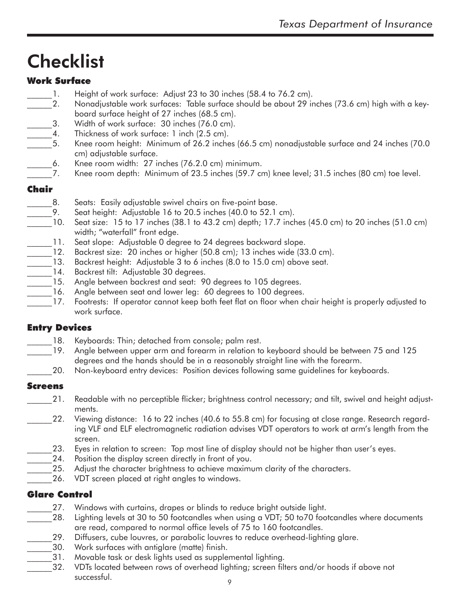# **Checklist**

### Work Surface

- 1. Height of work surface: Adjust 23 to 30 inches (58.4 to 76.2 cm).
- 2. Nonadjustable work surfaces: Table surface should be about 29 inches (73.6 cm) high with a keyboard surface height of 27 inches (68.5 cm).
- 3. Width of work surface: 30 inches (76.0 cm).
- 4. Thickness of work surface: 1 inch (2.5 cm).
- \_\_\_\_\_\_5. Knee room height: Minimum of 26.2 inches (66.5 cm) nonadjustable surface and 24 inches (70.0 cm) adjustable surface.
- 6. Knee room width: 27 inches (76.2.0 cm) minimum.
- 7. Knee room depth: Minimum of 23.5 inches (59.7 cm) knee level; 31.5 inches (80 cm) toe level.

#### Chair

- 8. Seats: Easily adjustable swivel chairs on five-point base.
- 9. Seat height: Adjustable 16 to 20.5 inches (40.0 to 52.1 cm).
- \_\_\_\_\_\_10. Seat size: 15 to 17 inches (38.1 to 43.2 cm) depth; 17.7 inches (45.0 cm) to 20 inches (51.0 cm) width; "waterfall" front edge.
- 11. Seat slope: Adjustable 0 degree to 24 degrees backward slope.
- 12. Backrest size: 20 inches or higher (50.8 cm); 13 inches wide (33.0 cm).
- 13. Backrest height: Adjustable 3 to 6 inches (8.0 to 15.0 cm) above seat.
- 14. Backrest tilt: Adjustable 30 degrees.
- 15. Angle between backrest and seat: 90 degrees to 105 degrees.
	- 16. Angle between seat and lower leg: 60 degrees to 100 degrees.
- 17. Footrests: If operator cannot keep both feet flat on floor when chair height is properly adjusted to work surface.

#### Entry Devices

- 18. Keyboards: Thin; detached from console; palm rest.
- 19. Angle between upper arm and forearm in relation to keyboard should be between 75 and 125 degrees and the hands should be in a reasonably straight line with the forearm.
- 20. Non-keyboard entry devices: Position devices following same guidelines for keyboards.

#### Screens

- \_\_\_\_\_\_21. Readable with no perceptible flicker; brightness control necessary; and tilt, swivel and height adjustments.
- \_\_\_\_\_\_22. Viewing distance: 16 to 22 inches (40.6 to 55.8 cm) for focusing at close range. Research regarding VLF and ELF electromagnetic radiation advises VDT operators to work at arm's length from the screen.
- 23. Eyes in relation to screen: Top most line of display should not be higher than user's eyes.
- 24. Position the display screen directly in front of you.
- 25. Adjust the character brightness to achieve maximum clarity of the characters.
- 26. VDT screen placed at right angles to windows.

#### Glare Control

- 27. Windows with curtains, drapes or blinds to reduce bright outside light.
- 28. Lighting levels at 30 to 50 footcandles when using a VDT; 50 to70 footcandles where documents are read, compared to normal office levels of 75 to 160 footcandles.
- \_\_\_\_\_\_29. Diffusers, cube louvres, or parabolic louvres to reduce overhead-lighting glare.
- 30. Work surfaces with antiglare (matte) finish.
- 31. Movable task or desk lights used as supplemental lighting.
- 32. VDTs located between rows of overhead lighting; screen filters and/or hoods if above not successful.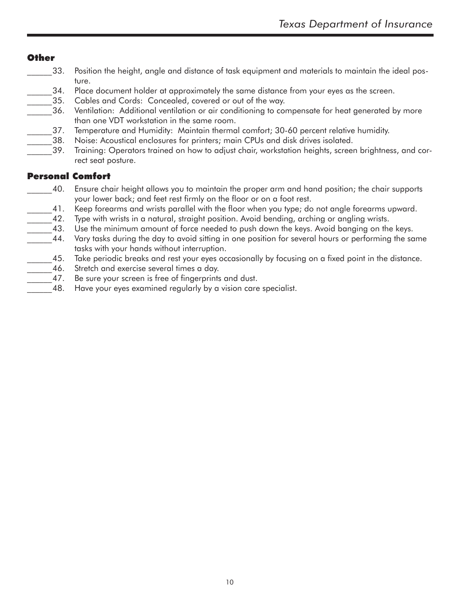#### Other

- 33. Position the height, angle and distance of task equipment and materials to maintain the ideal posture.
- 34. Place document holder at approximately the same distance from your eyes as the screen.
- 35. Cables and Cords: Concealed, covered or out of the way.
- \_\_\_\_\_\_36. Ventilation: Additional ventilation or air conditioning to compensate for heat generated by more than one VDT workstation in the same room.
- 37. Temperature and Humidity: Maintain thermal comfort; 30-60 percent relative humidity.
- \_\_\_\_\_\_38. Noise: Acoustical enclosures for printers; main CPUs and disk drives isolated.
- \_\_\_\_\_\_39. Training: Operators trained on how to adjust chair, workstation heights, screen brightness, and correct seat posture.

#### Personal Comfort

- \_\_\_\_\_\_40. Ensure chair height allows you to maintain the proper arm and hand position; the chair supports your lower back; and feet rest firmly on the floor or on a foot rest.
- 41. Keep forearms and wrists parallel with the floor when you type; do not angle forearms upward.
- 42. Type with wrists in a natural, straight position. Avoid bending, arching or angling wrists.
- 43. Use the minimum amount of force needed to push down the keys. Avoid banging on the keys.
- 44. Vary tasks during the day to avoid sitting in one position for several hours or performing the same tasks with your hands without interruption.
- \_\_\_\_\_\_45. Take periodic breaks and rest your eyes occasionally by focusing on a fixed point in the distance.
- 46. Stretch and exercise several times a day.
- 47. Be sure your screen is free of fingerprints and dust.
- 48. Have your eyes examined regularly by a vision care specialist.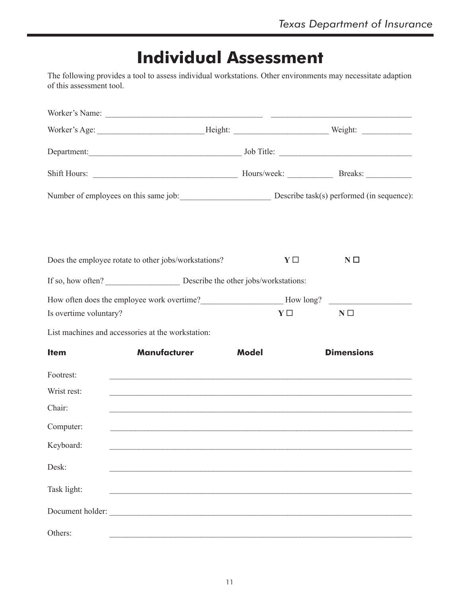# **Individual Assessment**

The following provides a tool to assess individual workstations. Other environments may necessitate adaption of this assessment tool.

|                        | Number of employees on this same job: Describe task(s) performed (in sequence):  |              |          |                   |
|------------------------|----------------------------------------------------------------------------------|--------------|----------|-------------------|
|                        | Does the employee rotate to other jobs/workstations?                             |              | $Y \Box$ | $N \Box$          |
|                        |                                                                                  |              |          |                   |
|                        | How often does the employee work overtime?<br>Mow long?                          |              |          |                   |
| Is overtime voluntary? |                                                                                  |              | $Y \Box$ | $N \Box$          |
|                        | List machines and accessories at the workstation:                                |              |          |                   |
| <b>Item</b>            | <b>Manufacturer</b>                                                              | <b>Model</b> |          | <b>Dimensions</b> |
| Footrest:              |                                                                                  |              |          |                   |
| Wrist rest:            | ,我们也不会有什么。""我们的人,我们也不会有什么?""我们的人,我们也不会有什么?""我们的人,我们也不会有什么?""我们的人,我们也不会有什么?""我们的人 |              |          |                   |
| Chair:                 |                                                                                  |              |          |                   |
| Computer:              |                                                                                  |              |          |                   |
| Keyboard:              |                                                                                  |              |          |                   |
| Desk:                  |                                                                                  |              |          |                   |
| Task light:            |                                                                                  |              |          |                   |
|                        | Document holder:                                                                 |              |          |                   |
| Others:                |                                                                                  |              |          |                   |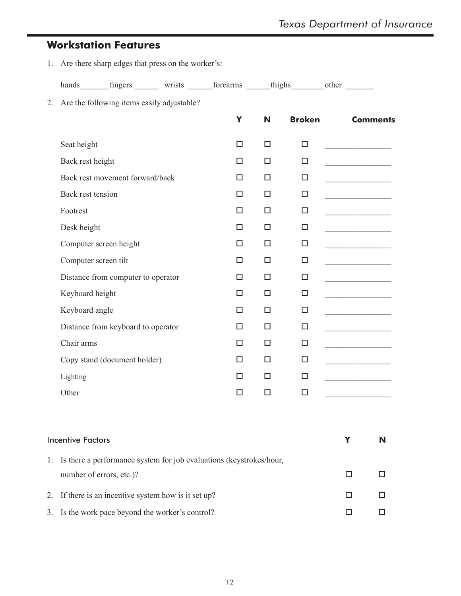# **Workstation Features**

1. Are there sharp edges that press on the worker's:

|    |                   | hands fingers wrists forearms thighs other |        |        |               |                                         |
|----|-------------------|--------------------------------------------|--------|--------|---------------|-----------------------------------------|
| 2. |                   | Are the following items easily adjustable? |        |        |               |                                         |
|    |                   |                                            | Y      | N      | <b>Broken</b> | <b>Comments</b>                         |
|    | Seat height       |                                            | $\Box$ | $\Box$ | $\Box$        |                                         |
|    | Back rest height  |                                            | □.     | 0      | $\Box$        |                                         |
|    |                   | Back rest movement forward/back            | $\Box$ | $\Box$ | $\Box$        |                                         |
|    | Back rest tension |                                            | □.     | 0      | $\Box$        |                                         |
|    | Footrest          |                                            | $\Box$ | $\Box$ | $\Box$        |                                         |
|    | Desk height       |                                            | 0      | 0      | $\Box$        |                                         |
|    |                   | Computer screen height                     | $\Box$ | $\Box$ | $\Box$        |                                         |
|    |                   | Computer screen tilt                       | □.     | 0      | $\Box$        |                                         |
|    |                   | Distance from computer to operator         | $\Box$ | $\Box$ | $\Box$        | <u> 1980 - Johann Barbara, martxa a</u> |
|    | Keyboard height   |                                            | $\Box$ | 0      | $\Box$        |                                         |
|    | Keyboard angle    |                                            | □      | $\Box$ | $\Box$        |                                         |
|    |                   | Distance from keyboard to operator         | п.     | П.     | $\Box$        |                                         |
|    | Chair arms        |                                            | $\Box$ | $\Box$ | $\Box$        |                                         |
|    |                   | Copy stand (document holder)               | п.     | $\Box$ | $\Box$        | <u> 1990 - Johann Barbara, martin a</u> |
|    | Lighting          |                                            | □      | $\Box$ | $\Box$        |                                         |
|    | Other             |                                            | п.     | П.     | $\Box$        |                                         |
|    |                   |                                            |        |        |               |                                         |
|    |                   |                                            |        |        |               |                                         |

| <b>Incentive Factors</b>                                               |  |
|------------------------------------------------------------------------|--|
| 1. Is there a performance system for job evaluations (keystrokes/hour, |  |
| number of errors, etc.)?                                               |  |
| 2. If there is an incentive system how is it set up?                   |  |
| 3. Is the work pace beyond the worker's control?                       |  |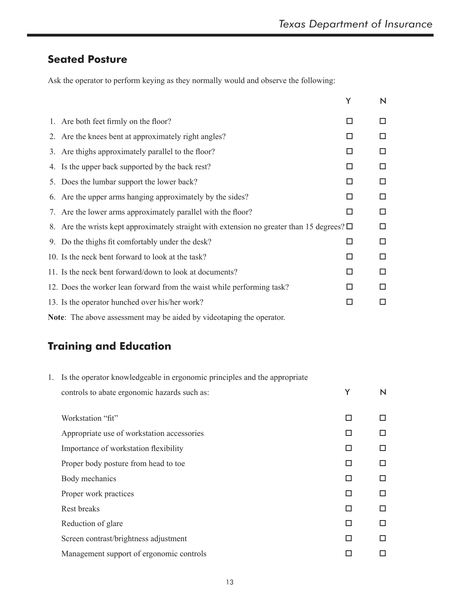# **Seated Posture**

Ask the operator to perform keying as they normally would and observe the following:

|                                                                                                 | Y | N |
|-------------------------------------------------------------------------------------------------|---|---|
| 1. Are both feet firmly on the floor?                                                           | □ | □ |
| 2. Are the knees bent at approximately right angles?                                            | H | □ |
| 3. Are thighs approximately parallel to the floor?                                              | П | □ |
| 4. Is the upper back supported by the back rest?                                                | П | □ |
| 5. Does the lumbar support the lower back?                                                      | П | □ |
| 6. Are the upper arms hanging approximately by the sides?                                       | П | □ |
| 7. Are the lower arms approximately parallel with the floor?                                    | □ | □ |
| 8. Are the wrists kept approximately straight with extension no greater than 15 degrees? $\Box$ |   | □ |
| 9. Do the thighs fit comfortably under the desk?                                                | П | □ |
| 10. Is the neck bent forward to look at the task?                                               |   | □ |
| 11. Is the neck bent forward/down to look at documents?                                         | П | □ |
| 12. Does the worker lean forward from the waist while performing task?                          | H | □ |
| 13. Is the operator hunched over his/her work?                                                  |   | □ |
|                                                                                                 |   |   |

**Note**: The above assessment may be aided by videotaping the operator.

# **Training and Education**

| 1. | Is the operator knowledgeable in ergonomic principles and the appropriate |   |   |
|----|---------------------------------------------------------------------------|---|---|
|    | controls to abate ergonomic hazards such as:                              | Y | N |
|    |                                                                           |   |   |
|    | Workstation "fit"                                                         | □ | П |
|    | Appropriate use of workstation accessories                                | П | П |
|    | Importance of workstation flexibility                                     | П | П |
|    | Proper body posture from head to toe                                      | П | П |
|    | Body mechanics                                                            | П | П |
|    | Proper work practices                                                     | П | П |
|    | <b>Rest breaks</b>                                                        | ◘ | П |
|    | Reduction of glare                                                        | П | П |
|    | Screen contrast/brightness adjustment                                     | П | П |
|    | Management support of ergonomic controls                                  | H | П |
|    |                                                                           |   |   |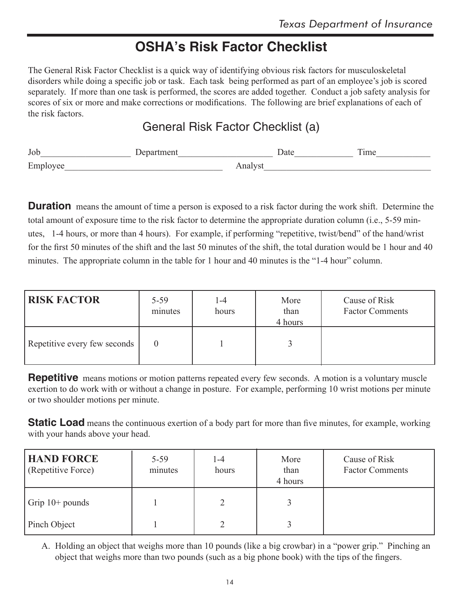# **OSHA's Risk Factor Checklist**

The General Risk Factor Checklist is a quick way of identifying obvious risk factors for musculoskeletal disorders while doing a specific job or task. Each task being performed as part of an employee's job is scored separately. If more than one task is performed, the scores are added together. Conduct a job safety analysis for scores of six or more and make corrections or modifications. The following are brief explanations of each of the risk factors.

# General Risk Factor Checklist (a)

| Job |                                     | $\overline{ }$<br><sub>1</sub> me |
|-----|-------------------------------------|-----------------------------------|
| Emp | and the contract of the contract of |                                   |

**Duration** means the amount of time a person is exposed to a risk factor during the work shift. Determine the total amount of exposure time to the risk factor to determine the appropriate duration column (i.e., 5-59 minutes, 1-4 hours, or more than 4 hours). For example, if performing "repetitive, twist/bend" of the hand/wrist for the first 50 minutes of the shift and the last 50 minutes of the shift, the total duration would be 1 hour and 40 minutes. The appropriate column in the table for 1 hour and 40 minutes is the "1-4 hour" column.

| <b>RISK FACTOR</b>           | $5 - 59$<br>minutes | $1-4$<br>hours | More<br>than<br>4 hours | Cause of Risk<br><b>Factor Comments</b> |
|------------------------------|---------------------|----------------|-------------------------|-----------------------------------------|
| Repetitive every few seconds |                     |                |                         |                                         |

**Repetitive** means motions or motion patterns repeated every few seconds. A motion is a voluntary muscle exertion to do work with or without a change in posture. For example, performing 10 wrist motions per minute or two shoulder motions per minute.

**Static Load** means the continuous exertion of a body part for more than five minutes, for example, working with your hands above your head.

| <b>HAND FORCE</b><br>(Repetitive Force) | $5 - 59$<br>minutes | $-4$<br>hours | More<br>than<br>4 hours | Cause of Risk<br><b>Factor Comments</b> |
|-----------------------------------------|---------------------|---------------|-------------------------|-----------------------------------------|
| Grip $10+$ pounds                       |                     | $\mathcal{D}$ | 3                       |                                         |
| Pinch Object                            |                     |               | 3                       |                                         |

A. Holding an object that weighs more than 10 pounds (like a big crowbar) in a "power grip." Pinching an object that weighs more than two pounds (such as a big phone book) with the tips of the fingers.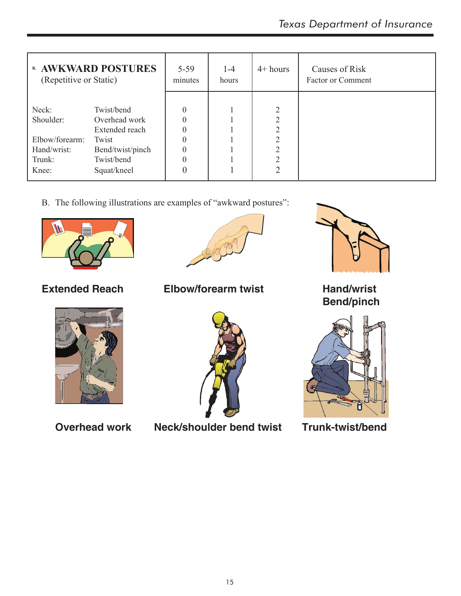| <b>B. AWKWARD POSTURES</b><br>(Repetitive or Static) |                  | $5 - 59$<br>minutes | $1-4$<br>hours | $4+ hours$     | Causes of Risk<br><b>Factor or Comment</b> |
|------------------------------------------------------|------------------|---------------------|----------------|----------------|--------------------------------------------|
| Neck:                                                | Twist/bend       | $\theta$            |                | $\overline{2}$ |                                            |
| Shoulder:                                            | Overhead work    | $\Omega$            |                | $\overline{2}$ |                                            |
|                                                      | Extended reach   | $\theta$            |                | $\overline{2}$ |                                            |
| Elbow/forearm:                                       | Twist            | $\Omega$            |                | $\mathcal{D}$  |                                            |
| Hand/wrist:                                          | Bend/twist/pinch | $\theta$            |                | $\mathcal{D}$  |                                            |
| Trunk:                                               | Twist/bend       | $\Omega$            |                | $\gamma$       |                                            |
| Knee:                                                | Squat/kneel      |                     |                | ↑              |                                            |

B. The following illustrations are examples of "awkward postures":





**Extended Reach Elbow/forearm twist Hand/wrist**





**Overhead work Neck/shoulder bend twist Trunk-twist/bend**



 **Bend/pinch**

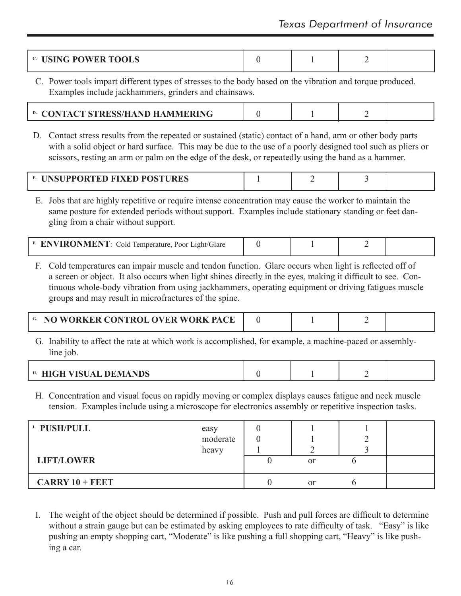|  | <b>JSING POWER TOOLS</b><br>C. 1 |  |  |  |  |
|--|----------------------------------|--|--|--|--|
|--|----------------------------------|--|--|--|--|

C. Power tools impart different types of stresses to the body based on the vibration and torque produced. Examples include jackhammers, grinders and chainsaws.

| <sup>D.</sup> CONTACT STRESS/HAND HAMMERING |  |  |  |
|---------------------------------------------|--|--|--|
|---------------------------------------------|--|--|--|

D. Contact stress results from the repeated or sustained (static) contact of a hand, arm or other body parts with a solid object or hard surface. This may be due to the use of a poorly designed tool such as pliers or scissors, resting an arm or palm on the edge of the desk, or repeatedly using the hand as a hammer.

| <b>NSUPPORTED FIXED POSTURES</b><br>Ł. |  |  |
|----------------------------------------|--|--|
|                                        |  |  |

E. Jobs that are highly repetitive or require intense concentration may cause the worker to maintain the same posture for extended periods without support. Examples include stationary standing or feet dangling from a chair without support.

|  |  | $\rightarrow$ <b>FRONMENT</b> Cold Temperature <b>D</b><br>E 17<br>Poor L<br>aght/Glare |  |  |  |  |
|--|--|-----------------------------------------------------------------------------------------|--|--|--|--|
|--|--|-----------------------------------------------------------------------------------------|--|--|--|--|

F. Cold temperatures can impair muscle and tendon function. Glare occurs when light is reflected off of a screen or object. It also occurs when light shines directly in the eyes, making it difficult to see. Continuous whole-body vibration from using jackhammers, operating equipment or driving fatigues muscle groups and may result in microfractures of the spine.

| <sup>G</sup> NO WORKER CONTROL OVER WORK PACE |  |  |
|-----------------------------------------------|--|--|
|                                               |  |  |

G. Inability to affect the rate at which work is accomplished, for example, a machine-paced or assemblyline job.

| . . |  |
|-----|--|
|     |  |

H. Concentration and visual focus on rapidly moving or complex displays causes fatigue and neck muscle tension. Examples include using a microscope for electronics assembly or repetitive inspection tasks.

| <sup>L</sup> PUSH/PULL | easy<br>moderate |               |  |
|------------------------|------------------|---------------|--|
|                        | heavy            |               |  |
| <b>LIFT/LOWER</b>      |                  | <sub>or</sub> |  |
| $CARRY 10 + FEET$      |                  | <sub>or</sub> |  |

I. The weight of the object should be determined if possible. Push and pull forces are difficult to determine without a strain gauge but can be estimated by asking employees to rate difficulty of task. "Easy" is like pushing an empty shopping cart, "Moderate" is like pushing a full shopping cart, "Heavy" is like pushing a car.